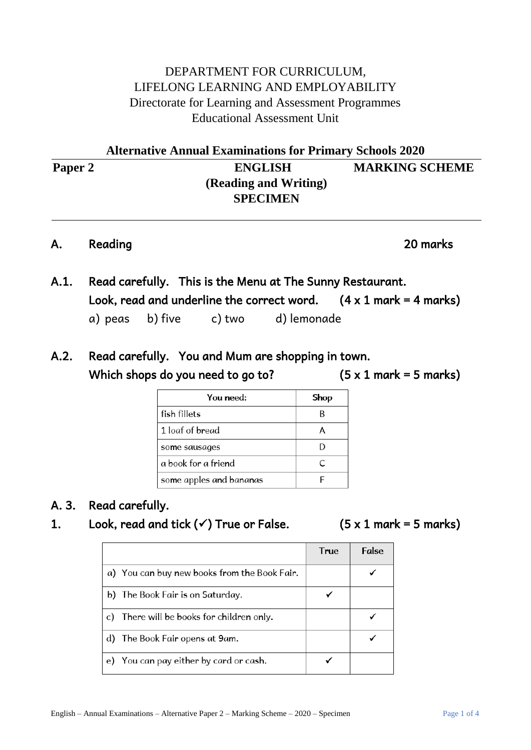## DEPARTMENT FOR CURRICULUM, LIFELONG LEARNING AND EMPLOYABILITY Directorate for Learning and Assessment Programmes Educational Assessment Unit

|         | <b>Alternative Annual Examinations for Primary Schools 2020</b> |                       |  |
|---------|-----------------------------------------------------------------|-----------------------|--|
| Paper 2 | <b>ENGLISH</b>                                                  | <b>MARKING SCHEME</b> |  |
|         | (Reading and Writing)                                           |                       |  |
|         | <b>SPECIMEN</b>                                                 |                       |  |

### A. Reading 20 marks

- A.1. Read carefully. This is the Menu at The Sunny Restaurant. Look, read and underline the correct word.  $(4 \times 1 \text{ mark} = 4 \text{ marks})$ a) peas b) five c) two d) lemonade
- A.2. Read carefully. You and Mum are shopping in town. Which shops do you need to go to?  $(5 \times 1 \text{ mark} = 5 \text{ marks})$

| You need:               | Shop |
|-------------------------|------|
| fish fillets            |      |
| 1 loaf of bread         |      |
| some sausages           |      |
| a book for a friend     | C    |
| some apples and bananas |      |

## A. 3. Read carefully.

## 1. Look, read and tick  $(√)$  True or False.  $(5 × 1$  mark = 5 marks)

|    |                                              | <b>True</b> | <b>False</b> |
|----|----------------------------------------------|-------------|--------------|
|    | a) You can buy new books from the Book Fair. |             |              |
|    | b) The Book Fair is on Saturday.             |             |              |
|    | c) There will be books for children only.    |             |              |
|    | d) The Book Fair opens at 9am.               |             |              |
| e) | You can pay either by card or cash.          |             |              |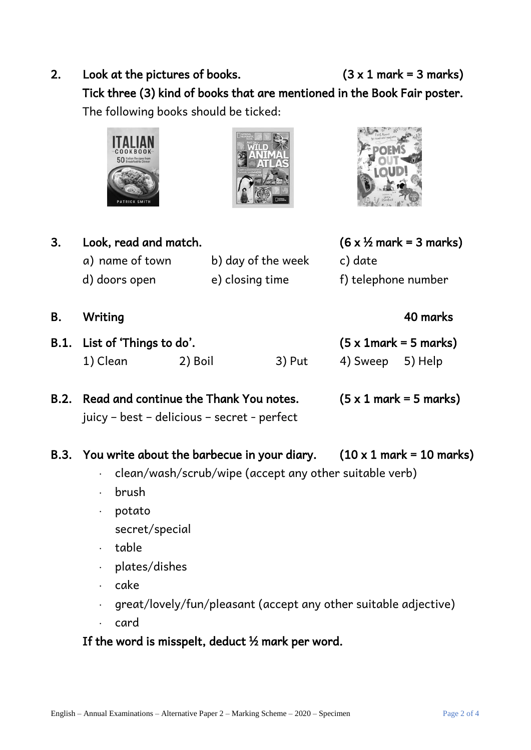2. Look at the pictures of books.  $(3 \times 1 \text{ mark} = 3 \text{ marks})$ Tick three (3) kind of books that are mentioned in the Book Fair poster. The following books should be ticked:







| Look, read and match. |                    | $(6 \times \frac{1}{2}$ mark = 3 marks) |
|-----------------------|--------------------|-----------------------------------------|
| a) name of town       | b) day of the week | c) date                                 |
| d) doors open         | e) closing time    | f) telephone number                     |

- B. Writing 40 marks
- B.1. List of 'Things to do'. (5 x 1mark = 5 marks) 1) Clean 2) Boil 3) Put 4) Sweep 5) Help

## B.2. Read and continue the Thank You notes.  $(5 \times 1 \text{ mark} = 5 \text{ marks})$ juicy – best – delicious – secret - perfect

- B.3. You write about the barbecue in your diary.  $(10 \times 1 \text{ mark} = 10 \text{ marks})$ 
	- clean/wash/scrub/wipe (accept any other suitable verb)
	- brush
	- potato
		- secret/special
	- table
	- $\cdot$  plates/dishes
	- $\cdot$  cake
	- $q = \frac{1}{2}$  great/lovely/fun/pleasant (accept any other suitable adjective)
	- . card

## If the word is misspelt, deduct  $\frac{1}{2}$  mark per word.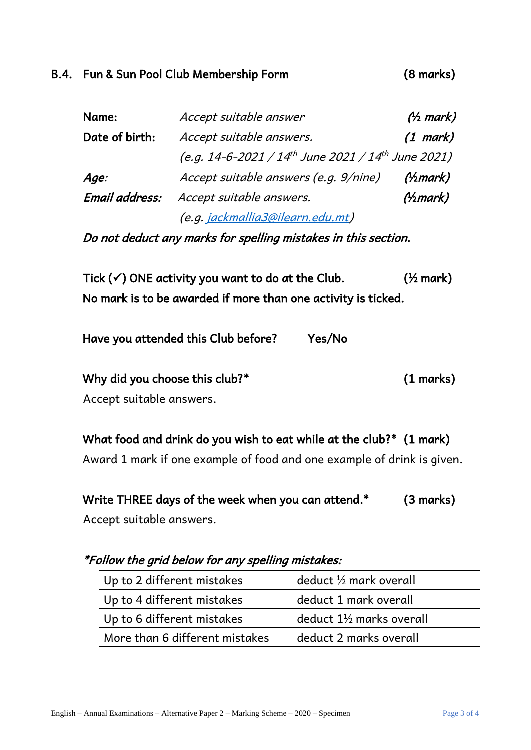## B.4. Fun & Sun Pool Club Membership Form (8 marks)

| Name:          | Accept suitable answer                                                     | $(\frac{\lambda}{2}$ mark) |
|----------------|----------------------------------------------------------------------------|----------------------------|
| Date of birth: | Accept suitable answers.                                                   | $(1$ mark)                 |
|                | (e.g. 14-6-2021 / 14 <sup>th</sup> June 2021 / 14 <sup>th</sup> June 2021) |                            |
| Age:           | Accept suitable answers (e.g. 9/nine)                                      | (A <sub>2</sub> mark)      |
| Email address: | Accept suitable answers.                                                   | $(\frac{\lambda}{m}$ ark)  |
|                | (e.g. jackmallia3@ilearn.edu.mt)                                           |                            |

Do not deduct any marks for spelling mistakes in this section.

Tick  $(\checkmark)$  ONE activity you want to do at the Club.  $(1/2)$  mark) No mark is to be awarded if more than one activity is ticked.

| Have you attended this Club before? | Yes/No |
|-------------------------------------|--------|
|-------------------------------------|--------|

Why did you choose this club?\* (1 marks)

Accept suitable answers.

What food and drink do you wish to eat while at the club?\* (1 mark)

Award 1 mark if one example of food and one example of drink is given.

Write THREE days of the week when you can attend.\* (3 marks)

Accept suitable answers.

\*Follow the grid below for any spelling mistakes:

| Up to 2 different mistakes     | deduct $\frac{1}{2}$ mark overall   |
|--------------------------------|-------------------------------------|
| Up to 4 different mistakes     | deduct 1 mark overall               |
| Up to 6 different mistakes     | deduct $1\frac{1}{2}$ marks overall |
| More than 6 different mistakes | deduct 2 marks overall              |